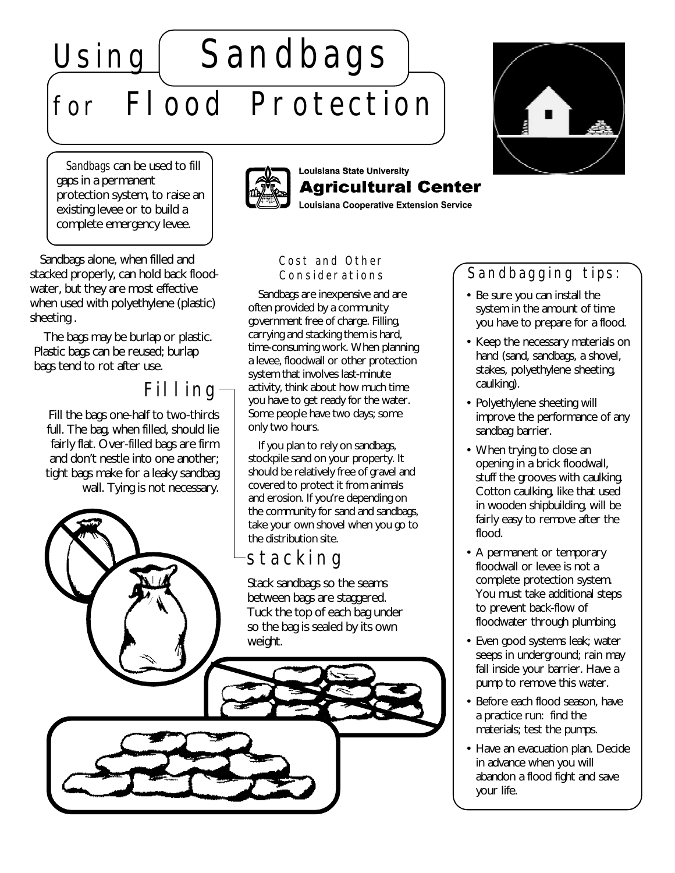# Using Sandbags for Flood Protection

*Sandbags* can be used to fill gaps in a permanent protection system, to raise an existing levee or to build a complete emergency levee.



#### Louisiana State University Agricultural Center

**Louisiana Cooperative Extension Service** 

Sandbags alone, when filled and stacked properly, can hold back floodwater, but they are most effective when used with polyethylene (plastic) sheeting .

The bags may be burlap or plastic. Plastic bags can be reused; burlap bags tend to rot after use.

# Filling

Fill the bags one-half to two-thirds full. The bag, when filled, should lie fairly flat. Over-filled bags are firm and don't nestle into one another; tight bags make for a leaky sandbag wall. Tying is not necessary.



system that involves last-minute activity, think about how much time you have to get ready for the water. Some people have two days; some only two hours.

If you plan to rely on sandbags, stockpile sand on your property. It should be relatively free of gravel and covered to protect it from animals and erosion. If you're depending on the community for sand and sandbags, take your own shovel when you go to the distribution site.

# stacking

Stack sandbags so the seams between bags are staggered. Tuck the top of each bag under so the bag is sealed by its own weight.



## Sandbagging tips:

- Be sure you can install the system in the amount of time you have to prepare for a flood.
- Keep the necessary materials on hand (sand, sandbags, a shovel, stakes, polyethylene sheeting, caulking).
- Polyethylene sheeting will improve the performance of any sandbag barrier.
- When trying to close an opening in a brick floodwall, stuff the grooves with caulking. Cotton caulking, like that used in wooden shipbuilding, will be fairly easy to remove after the flood.
- A permanent or temporary floodwall or levee is not a complete protection system. You must take additional steps to prevent back-flow of floodwater through plumbing.
- Even good systems leak; water seeps in underground; rain may fall inside your barrier. Have a pump to remove this water.
- Before each flood season, have a practice run: find the materials; test the pumps.
- Have an evacuation plan. Decide in advance when you will abandon a flood fight and save your life.